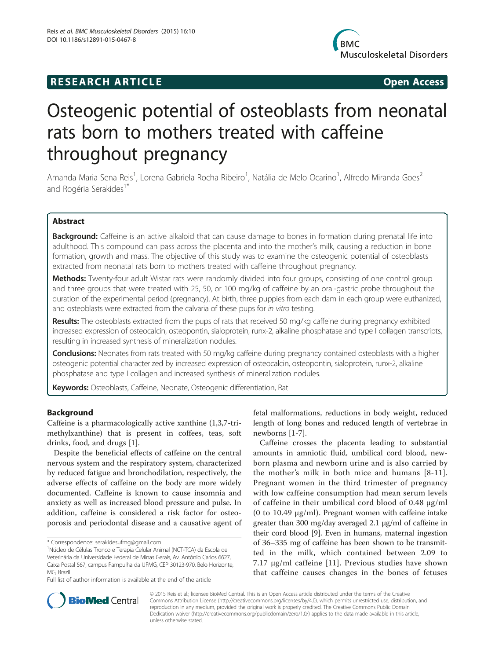# **RESEARCH ARTICLE Example 2018 12:00 Open Access**



# Osteogenic potential of osteoblasts from neonatal rats born to mothers treated with caffeine throughout pregnancy

Amanda Maria Sena Reis<sup>1</sup>, Lorena Gabriela Rocha Ribeiro<sup>1</sup>, Natália de Melo Ocarino<sup>1</sup>, Alfredo Miranda Goes<sup>2</sup> and Rogéria Serakides<sup>1</sup>

# Abstract

Background: Caffeine is an active alkaloid that can cause damage to bones in formation during prenatal life into adulthood. This compound can pass across the placenta and into the mother's milk, causing a reduction in bone formation, growth and mass. The objective of this study was to examine the osteogenic potential of osteoblasts extracted from neonatal rats born to mothers treated with caffeine throughout pregnancy.

Methods: Twenty-four adult Wistar rats were randomly divided into four groups, consisting of one control group and three groups that were treated with 25, 50, or 100 mg/kg of caffeine by an oral-gastric probe throughout the duration of the experimental period (pregnancy). At birth, three puppies from each dam in each group were euthanized, and osteoblasts were extracted from the calvaria of these pups for in vitro testing.

Results: The osteoblasts extracted from the pups of rats that received 50 mg/kg caffeine during pregnancy exhibited increased expression of osteocalcin, osteopontin, sialoprotein, runx-2, alkaline phosphatase and type I collagen transcripts, resulting in increased synthesis of mineralization nodules.

Conclusions: Neonates from rats treated with 50 mg/kg caffeine during pregnancy contained osteoblasts with a higher osteogenic potential characterized by increased expression of osteocalcin, osteopontin, sialoprotein, runx-2, alkaline phosphatase and type I collagen and increased synthesis of mineralization nodules.

Keywords: Osteoblasts, Caffeine, Neonate, Osteogenic differentiation, Rat

# Background

Caffeine is a pharmacologically active xanthine (1,3,7-trimethylxanthine) that is present in coffees, teas, soft drinks, food, and drugs [[1\]](#page-9-0).

Despite the beneficial effects of caffeine on the central nervous system and the respiratory system, characterized by reduced fatigue and bronchodilation, respectively, the adverse effects of caffeine on the body are more widely documented. Caffeine is known to cause insomnia and anxiety as well as increased blood pressure and pulse. In addition, caffeine is considered a risk factor for osteoporosis and periodontal disease and a causative agent of

fetal malformations, reductions in body weight, reduced length of long bones and reduced length of vertebrae in newborns [[1-7\]](#page-9-0).

Caffeine crosses the placenta leading to substantial amounts in amniotic fluid, umbilical cord blood, newborn plasma and newborn urine and is also carried by the mother's milk in both mice and humans [[8-11](#page-9-0)]. Pregnant women in the third trimester of pregnancy with low caffeine consumption had mean serum levels of caffeine in their umbilical cord blood of 0.48 μg/ml (0 to 10.49 μg/ml). Pregnant women with caffeine intake greater than 300 mg/day averaged 2.1 μg/ml of caffeine in their cord blood [[9\]](#page-9-0). Even in humans, maternal ingestion of 36–335 mg of caffeine has been shown to be transmitted in the milk, which contained between 2.09 to 7.17 μg/ml caffeine [[11](#page-9-0)]. Previous studies have shown that caffeine causes changes in the bones of fetuses



© 2015 Reis et al.; licensee BioMed Central. This is an Open Access article distributed under the terms of the Creative Commons Attribution License [\(http://creativecommons.org/licenses/by/4.0\)](http://creativecommons.org/licenses/by/4.0), which permits unrestricted use, distribution, and reproduction in any medium, provided the original work is properly credited. The Creative Commons Public Domain Dedication waiver [\(http://creativecommons.org/publicdomain/zero/1.0/](http://creativecommons.org/publicdomain/zero/1.0/)) applies to the data made available in this article, unless otherwise stated.

<sup>\*</sup> Correspondence: [serakidesufmg@gmail.com](mailto:serakidesufmg@gmail.com) <sup>1</sup>

Núcleo de Células Tronco e Terapia Celular Animal (NCT-TCA) da Escola de Veterinária da Universidade Federal de Minas Gerais, Av. Antônio Carlos 6627, Caixa Postal 567, campus Pampulha da UFMG, CEP 30123-970, Belo Horizonte, MG, Brazil

Full list of author information is available at the end of the article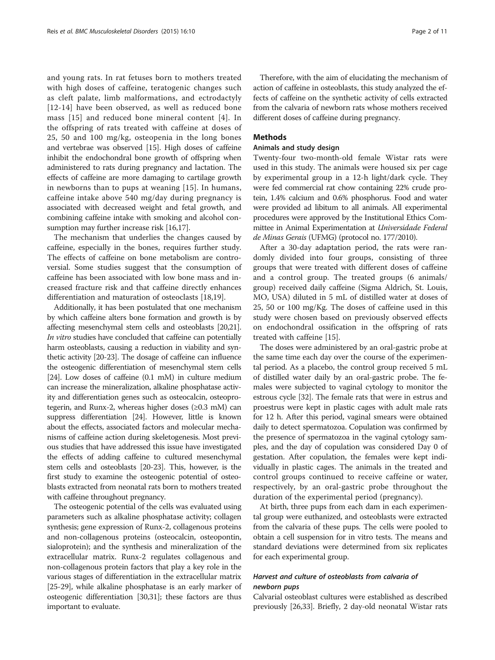and young rats. In rat fetuses born to mothers treated with high doses of caffeine, teratogenic changes such as cleft palate, limb malformations, and ectrodactyly [[12](#page-9-0)-[14](#page-9-0)] have been observed, as well as reduced bone mass [[15\]](#page-9-0) and reduced bone mineral content [[4](#page-9-0)]. In the offspring of rats treated with caffeine at doses of 25, 50 and 100 mg/kg, osteopenia in the long bones and vertebrae was observed [[15\]](#page-9-0). High doses of caffeine inhibit the endochondral bone growth of offspring when administered to rats during pregnancy and lactation. The effects of caffeine are more damaging to cartilage growth in newborns than to pups at weaning [[15](#page-9-0)]. In humans, caffeine intake above 540 mg/day during pregnancy is associated with decreased weight and fetal growth, and combining caffeine intake with smoking and alcohol consumption may further increase risk [[16,17\]](#page-9-0).

The mechanism that underlies the changes caused by caffeine, especially in the bones, requires further study. The effects of caffeine on bone metabolism are controversial. Some studies suggest that the consumption of caffeine has been associated with low bone mass and increased fracture risk and that caffeine directly enhances differentiation and maturation of osteoclasts [[18](#page-9-0),[19](#page-9-0)].

Additionally, it has been postulated that one mechanism by which caffeine alters bone formation and growth is by affecting mesenchymal stem cells and osteoblasts [\[20,21](#page-9-0)]. In vitro studies have concluded that caffeine can potentially harm osteoblasts, causing a reduction in viability and synthetic activity [[20-23](#page-9-0)]. The dosage of caffeine can influence the osteogenic differentiation of mesenchymal stem cells [[24](#page-9-0)]. Low doses of caffeine (0.1 mM) in culture medium can increase the mineralization, alkaline phosphatase activity and differentiation genes such as osteocalcin, osteoprotegerin, and Runx-2, whereas higher doses (≥0.3 mM) can suppress differentiation [\[24\]](#page-9-0). However, little is known about the effects, associated factors and molecular mechanisms of caffeine action during skeletogenesis. Most previous studies that have addressed this issue have investigated the effects of adding caffeine to cultured mesenchymal stem cells and osteoblasts [[20](#page-9-0)-[23](#page-9-0)]. This, however, is the first study to examine the osteogenic potential of osteoblasts extracted from neonatal rats born to mothers treated with caffeine throughout pregnancy.

The osteogenic potential of the cells was evaluated using parameters such as alkaline phosphatase activity; collagen synthesis; gene expression of Runx-2, collagenous proteins and non-collagenous proteins (osteocalcin, osteopontin, sialoprotein); and the synthesis and mineralization of the extracellular matrix. Runx-2 regulates collagenous and non-collagenous protein factors that play a key role in the various stages of differentiation in the extracellular matrix [[25](#page-9-0)-[29\]](#page-9-0), while alkaline phosphatase is an early marker of osteogenic differentiation [\[30,31](#page-9-0)]; these factors are thus important to evaluate.

Therefore, with the aim of elucidating the mechanism of action of caffeine in osteoblasts, this study analyzed the effects of caffeine on the synthetic activity of cells extracted from the calvaria of newborn rats whose mothers received different doses of caffeine during pregnancy.

# Methods

# Animals and study design

Twenty-four two-month-old female Wistar rats were used in this study. The animals were housed six per cage by experimental group in a 12-h light/dark cycle. They were fed commercial rat chow containing 22% crude protein, 1.4% calcium and 0.6% phosphorus. Food and water were provided ad libitum to all animals. All experimental procedures were approved by the Institutional Ethics Committee in Animal Experimentation at Universidade Federal de Minas Gerais (UFMG) (protocol no. 177/2010).

After a 30-day adaptation period, the rats were randomly divided into four groups, consisting of three groups that were treated with different doses of caffeine and a control group. The treated groups (6 animals/ group) received daily caffeine (Sigma Aldrich, St. Louis, MO, USA) diluted in 5 mL of distilled water at doses of 25, 50 or 100 mg/Kg. The doses of caffeine used in this study were chosen based on previously observed effects on endochondral ossification in the offspring of rats treated with caffeine [\[15](#page-9-0)].

The doses were administered by an oral-gastric probe at the same time each day over the course of the experimental period. As a placebo, the control group received 5 mL of distilled water daily by an oral-gastric probe. The females were subjected to vaginal cytology to monitor the estrous cycle [\[32\]](#page-9-0). The female rats that were in estrus and proestrus were kept in plastic cages with adult male rats for 12 h. After this period, vaginal smears were obtained daily to detect spermatozoa. Copulation was confirmed by the presence of spermatozoa in the vaginal cytology samples, and the day of copulation was considered Day 0 of gestation. After copulation, the females were kept individually in plastic cages. The animals in the treated and control groups continued to receive caffeine or water, respectively, by an oral-gastric probe throughout the duration of the experimental period (pregnancy).

At birth, three pups from each dam in each experimental group were euthanized, and osteoblasts were extracted from the calvaria of these pups. The cells were pooled to obtain a cell suspension for in vitro tests. The means and standard deviations were determined from six replicates for each experimental group.

# Harvest and culture of osteoblasts from calvaria of newborn pups

Calvarial osteoblast cultures were established as described previously [\[26,33](#page-9-0)]. Briefly, 2 day-old neonatal Wistar rats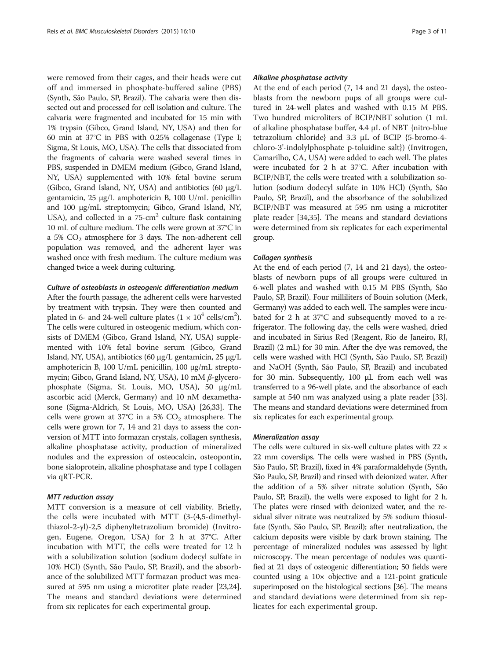were removed from their cages, and their heads were cut off and immersed in phosphate-buffered saline (PBS) (Synth, São Paulo, SP, Brazil). The calvaria were then dissected out and processed for cell isolation and culture. The calvaria were fragmented and incubated for 15 min with 1% trypsin (Gibco, Grand Island, NY, USA) and then for 60 min at 37°C in PBS with 0.25% collagenase (Type I; Sigma, St Louis, MO, USA). The cells that dissociated from the fragments of calvaria were washed several times in PBS, suspended in DMEM medium (Gibco, Grand Island, NY, USA) supplemented with 10% fetal bovine serum (Gibco, Grand Island, NY, USA) and antibiotics (60 μg/L gentamicin, 25 μg/L amphotericin B, 100 U/mL penicillin and 100 μg/mL streptomycin; Gibco, Grand Island, NY, USA), and collected in a  $75$ -cm<sup>2</sup> culture flask containing 10 mL of culture medium. The cells were grown at 37°C in a 5%  $CO<sub>2</sub>$  atmosphere for 3 days. The non-adherent cell population was removed, and the adherent layer was washed once with fresh medium. The culture medium was changed twice a week during culturing.

# Culture of osteoblasts in osteogenic differentiation medium

After the fourth passage, the adherent cells were harvested by treatment with trypsin. They were then counted and plated in 6- and 24-well culture plates  $(1 \times 10^4 \text{ cells/cm}^2)$ . The cells were cultured in osteogenic medium, which consists of DMEM (Gibco, Grand Island, NY, USA) supplemented with 10% fetal bovine serum (Gibco, Grand Island, NY, USA), antibiotics (60 μg/L gentamicin, 25 μg/L amphotericin B, 100 U/mL penicillin, 100 μg/mL streptomycin; Gibco, Grand Island, NY, USA), 10 mM β-glycerophosphate (Sigma, St. Louis, MO, USA), 50 μg/mL ascorbic acid (Merck, Germany) and 10 nM dexamethasone (Sigma-Aldrich, St Louis, MO, USA) [\[26,33\]](#page-9-0). The cells were grown at  $37^{\circ}$ C in a 5% CO<sub>2</sub> atmosphere. The cells were grown for 7, 14 and 21 days to assess the conversion of MTT into formazan crystals, collagen synthesis, alkaline phosphatase activity, production of mineralized nodules and the expression of osteocalcin, osteopontin, bone sialoprotein, alkaline phosphatase and type I collagen via qRT-PCR.

# MTT reduction assay

MTT conversion is a measure of cell viability. Briefly, the cells were incubated with MTT (3-(4,5-dimethylthiazol-2-yl)-2,5 diphenyltetrazolium bromide) (Invitrogen, Eugene, Oregon, USA) for 2 h at 37°C. After incubation with MTT, the cells were treated for 12 h with a solubilization solution (sodium dodecyl sulfate in 10% HCl) (Synth, São Paulo, SP, Brazil), and the absorbance of the solubilized MTT formazan product was measured at 595 nm using a microtiter plate reader [\[23,24](#page-9-0)]. The means and standard deviations were determined from six replicates for each experimental group.

## Alkaline phosphatase activity

At the end of each period (7, 14 and 21 days), the osteoblasts from the newborn pups of all groups were cultured in 24-well plates and washed with 0.15 M PBS. Two hundred microliters of BCIP/NBT solution (1 mL of alkaline phosphatase buffer, 4.4 μL of NBT {nitro-blue tetrazolium chloride} and 3.3 μL of BCIP {5-bromo-4 chloro-3'-indolylphosphate p-toluidine salt}) (Invitrogen, Camarilho, CA, USA) were added to each well. The plates were incubated for 2 h at 37°C. After incubation with BCIP/NBT, the cells were treated with a solubilization solution (sodium dodecyl sulfate in 10% HCl) (Synth, São Paulo, SP, Brazil), and the absorbance of the solubilized BCIP/NBT was measured at 595 nm using a microtiter plate reader [\[34,35\]](#page-9-0). The means and standard deviations were determined from six replicates for each experimental group.

### Collagen synthesis

At the end of each period (7, 14 and 21 days), the osteoblasts of newborn pups of all groups were cultured in 6-well plates and washed with 0.15 M PBS (Synth, São Paulo, SP, Brazil). Four milliliters of Bouin solution (Merk, Germany) was added to each well. The samples were incubated for 2 h at 37°C and subsequently moved to a refrigerator. The following day, the cells were washed, dried and incubated in Sirius Red (Reagent, Rio de Janeiro, RJ, Brazil) (2 mL) for 30 min. After the dye was removed, the cells were washed with HCl (Synth, São Paulo, SP, Brazil) and NaOH (Synth, São Paulo, SP, Brazil) and incubated for 30 min. Subsequently, 100 μL from each well was transferred to a 96-well plate, and the absorbance of each sample at 540 nm was analyzed using a plate reader [[33](#page-9-0)]. The means and standard deviations were determined from six replicates for each experimental group.

# Mineralization assay

The cells were cultured in six-well culture plates with 22  $\times$ 22 mm coverslips. The cells were washed in PBS (Synth, São Paulo, SP, Brazil), fixed in 4% paraformaldehyde (Synth, São Paulo, SP, Brazil) and rinsed with deionized water. After the addition of a 5% silver nitrate solution (Synth, São Paulo, SP, Brazil), the wells were exposed to light for 2 h. The plates were rinsed with deionized water, and the residual silver nitrate was neutralized by 5% sodium thiosulfate (Synth, São Paulo, SP, Brazil); after neutralization, the calcium deposits were visible by dark brown staining. The percentage of mineralized nodules was assessed by light microscopy. The mean percentage of nodules was quantified at 21 days of osteogenic differentiation; 50 fields were counted using a 10× objective and a 121-point graticule superimposed on the histological sections [[36\]](#page-9-0). The means and standard deviations were determined from six replicates for each experimental group.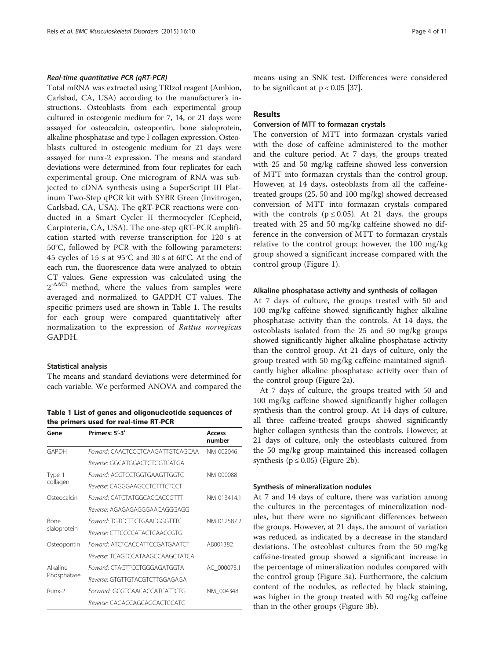## Real-time quantitative PCR (qRT-PCR)

Total mRNA was extracted using TRIzol reagent (Ambion, Carlsbad, CA, USA) according to the manufacturer's instructions. Osteoblasts from each experimental group cultured in osteogenic medium for 7, 14, or 21 days were assayed for osteocalcin, osteopontin, bone sialoprotein, alkaline phosphatase and type I collagen expression. Osteoblasts cultured in osteogenic medium for 21 days were assayed for runx-2 expression. The means and standard deviations were determined from four replicates for each experimental group. One microgram of RNA was subjected to cDNA synthesis using a SuperScript III Platinum Two-Step qPCR kit with SYBR Green (Invitrogen, Carlsbad, CA, USA). The qRT-PCR reactions were conducted in a Smart Cycler II thermocycler (Cepheid, Carpinteria, CA, USA). The one-step qRT-PCR amplification started with reverse transcription for 120 s at 50°C, followed by PCR with the following parameters: 45 cycles of 15 s at 95°C and 30 s at 60°C. At the end of each run, the fluorescence data were analyzed to obtain CT values. Gene expression was calculated using the  $2^{-\Delta\Delta Ct}$  method, where the values from samples were averaged and normalized to GAPDH CT values. The specific primers used are shown in Table 1. The results for each group were compared quantitatively after normalization to the expression of Rattus norvegicus GAPDH.

#### Statistical analysis

The means and standard deviations were determined for each variable. We performed ANOVA and compared the

Table 1 List of genes and oligonucleotide sequences of the primers used for real-time RT-PCR

| Gene                    | Primers: 5'-3'                   | Access<br>number |
|-------------------------|----------------------------------|------------------|
| GAPDH                   | Foward: CAACTCCCTCAAGATTGTCAGCAA | NM 002046        |
|                         | Reverse: GGCATGGACTGTGGTCATGA    |                  |
| Type 1<br>collagen      | Foward: ACGTCCTGGTGAAGTTGGTC     | NM 000088        |
|                         | Reverse: CAGGGAAGCCTCTTTCTCCT    |                  |
| Osteocalcin             | Foward: CATCTATGGCACCACCGTTT     | NM 013414.1      |
|                         | Reverse: AGAGAGAGGGAACAGGGAGG    |                  |
| Bone<br>sialoprotein    | Foward: TGTCCTTCTGAACGGGTTTC     | NM 012587.2      |
|                         | Reverse: CTTCCCCATACTCAACCGTG    |                  |
| Osteopontin             | Foward: ATCTCACCATTCCGATGAATCT   | AB001382         |
|                         | Reverse: TCAGTCCATAAGCCAAGCTATCA |                  |
| Alkaline<br>Phosphatase | Foward: CTAGTTCCTGGGAGATGGTA     | AC 000073.1      |
|                         | Reverse: GTGTTGTACGTCTTGGAGAGA   |                  |
| Runx-2                  | Forward: GCGTCAACACCATCATTCTG    | NM 004348        |
|                         | Reverse: CAGACCAGCAGCACTCCATC    |                  |

means using an SNK test. Differences were considered to be significant at  $p < 0.05$  [\[37\]](#page-9-0).

# Results

# Conversion of MTT to formazan crystals

The conversion of MTT into formazan crystals varied with the dose of caffeine administered to the mother and the culture period. At 7 days, the groups treated with 25 and 50 mg/kg caffeine showed less conversion of MTT into formazan crystals than the control group. However, at 14 days, osteoblasts from all the caffeinetreated groups (25, 50 and 100 mg/kg) showed decreased conversion of MTT into formazan crystals compared with the controls ( $p \le 0.05$ ). At 21 days, the groups treated with 25 and 50 mg/kg caffeine showed no difference in the conversion of MTT to formazan crystals relative to the control group; however, the 100 mg/kg group showed a significant increase compared with the control group (Figure [1\)](#page-4-0).

#### Alkaline phosphatase activity and synthesis of collagen

At 7 days of culture, the groups treated with 50 and 100 mg/kg caffeine showed significantly higher alkaline phosphatase activity than the controls. At 14 days, the osteoblasts isolated from the 25 and 50 mg/kg groups showed significantly higher alkaline phosphatase activity than the control group. At 21 days of culture, only the group treated with 50 mg/kg caffeine maintained significantly higher alkaline phosphatase activity over than of the control group (Figure [2a](#page-4-0)).

At 7 days of culture, the groups treated with 50 and 100 mg/kg caffeine showed significantly higher collagen synthesis than the control group. At 14 days of culture, all three caffeine-treated groups showed significantly higher collagen synthesis than the controls. However, at 21 days of culture, only the osteoblasts cultured from the 50 mg/kg group maintained this increased collagen synthesis ( $p \le 0.05$ ) (Figure [2b](#page-4-0)).

# Synthesis of mineralization nodules

At 7 and 14 days of culture, there was variation among the cultures in the percentages of mineralization nodules, but there were no significant differences between the groups. However, at 21 days, the amount of variation was reduced, as indicated by a decrease in the standard deviations. The osteoblast cultures from the 50 mg/kg caffeine-treated group showed a significant increase in the percentage of mineralization nodules compared with the control group (Figure [3](#page-5-0)a). Furthermore, the calcium content of the nodules, as reflected by black staining, was higher in the group treated with 50 mg/kg caffeine than in the other groups (Figure [3b](#page-5-0)).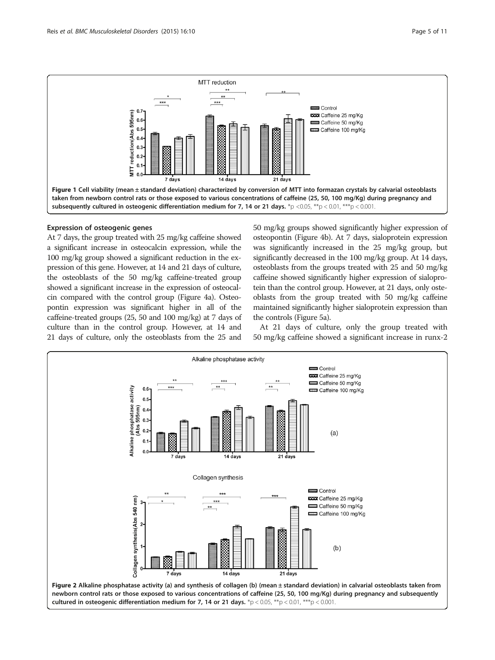<span id="page-4-0"></span>

# Expression of osteogenic genes

At 7 days, the group treated with 25 mg/kg caffeine showed a significant increase in osteocalcin expression, while the 100 mg/kg group showed a significant reduction in the expression of this gene. However, at 14 and 21 days of culture, the osteoblasts of the 50 mg/kg caffeine-treated group showed a significant increase in the expression of osteocalcin compared with the control group (Figure [4](#page-6-0)a). Osteopontin expression was significant higher in all of the caffeine-treated groups (25, 50 and 100 mg/kg) at 7 days of culture than in the control group. However, at 14 and 21 days of culture, only the osteoblasts from the 25 and 50 mg/kg groups showed significantly higher expression of osteopontin (Figure [4](#page-6-0)b). At 7 days, sialoprotein expression was significantly increased in the 25 mg/kg group, but significantly decreased in the 100 mg/kg group. At 14 days, osteoblasts from the groups treated with 25 and 50 mg/kg caffeine showed significantly higher expression of sialoprotein than the control group. However, at 21 days, only osteoblasts from the group treated with 50 mg/kg caffeine maintained significantly higher sialoprotein expression than the controls (Figure [5](#page-6-0)a).

At 21 days of culture, only the group treated with 50 mg/kg caffeine showed a significant increase in runx-2

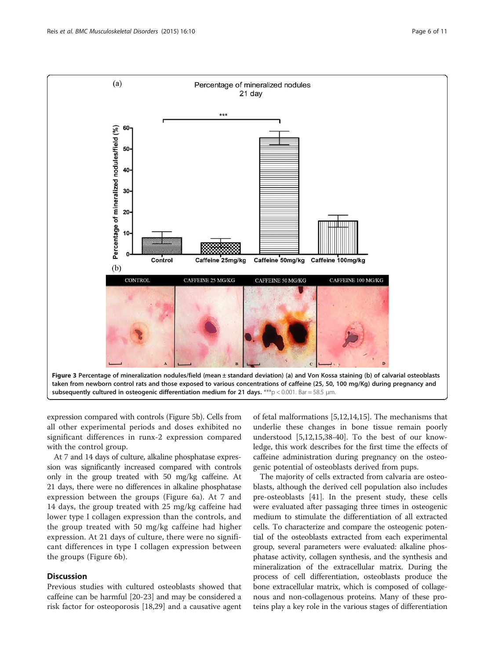<span id="page-5-0"></span>

expression compared with controls (Figure [5b](#page-6-0)). Cells from all other experimental periods and doses exhibited no significant differences in runx-2 expression compared with the control group.

At 7 and 14 days of culture, alkaline phosphatase expression was significantly increased compared with controls only in the group treated with 50 mg/kg caffeine. At 21 days, there were no differences in alkaline phosphatase expression between the groups (Figure [6a](#page-7-0)). At 7 and 14 days, the group treated with 25 mg/kg caffeine had lower type I collagen expression than the controls, and the group treated with 50 mg/kg caffeine had higher expression. At 21 days of culture, there were no significant differences in type I collagen expression between the groups (Figure [6b](#page-7-0)).

# **Discussion**

Previous studies with cultured osteoblasts showed that caffeine can be harmful [\[20-23](#page-9-0)] and may be considered a risk factor for osteoporosis [\[18,29\]](#page-9-0) and a causative agent

of fetal malformations [\[5,12,14,15](#page-9-0)]. The mechanisms that underlie these changes in bone tissue remain poorly understood [\[5,12,15,38](#page-9-0)-[40\]](#page-9-0). To the best of our knowledge, this work describes for the first time the effects of caffeine administration during pregnancy on the osteogenic potential of osteoblasts derived from pups.

The majority of cells extracted from calvaria are osteoblasts, although the derived cell population also includes pre-osteoblasts [[41\]](#page-9-0). In the present study, these cells were evaluated after passaging three times in osteogenic medium to stimulate the differentiation of all extracted cells. To characterize and compare the osteogenic potential of the osteoblasts extracted from each experimental group, several parameters were evaluated: alkaline phosphatase activity, collagen synthesis, and the synthesis and mineralization of the extracellular matrix. During the process of cell differentiation, osteoblasts produce the bone extracellular matrix, which is composed of collagenous and non-collagenous proteins. Many of these proteins play a key role in the various stages of differentiation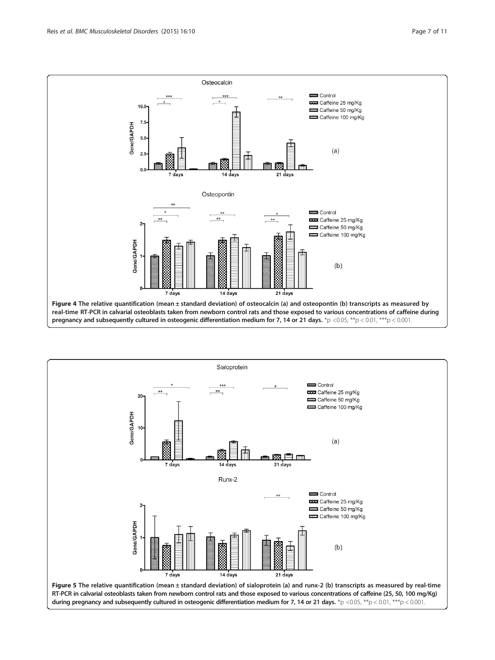<span id="page-6-0"></span>

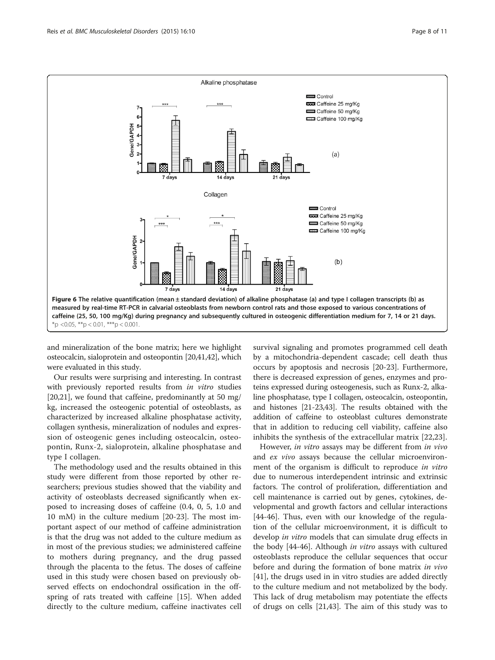<span id="page-7-0"></span>

and mineralization of the bone matrix; here we highlight osteocalcin, sialoprotein and osteopontin [[20,41,42\]](#page-9-0), which were evaluated in this study.

Our results were surprising and interesting. In contrast with previously reported results from in vitro studies [[20,21\]](#page-9-0), we found that caffeine, predominantly at 50 mg/ kg, increased the osteogenic potential of osteoblasts, as characterized by increased alkaline phosphatase activity, collagen synthesis, mineralization of nodules and expression of osteogenic genes including osteocalcin, osteopontin, Runx-2, sialoprotein, alkaline phosphatase and type I collagen.

The methodology used and the results obtained in this study were different from those reported by other researchers; previous studies showed that the viability and activity of osteoblasts decreased significantly when exposed to increasing doses of caffeine (0.4, 0, 5, 1.0 and 10 mM) in the culture medium [[20-23\]](#page-9-0). The most important aspect of our method of caffeine administration is that the drug was not added to the culture medium as in most of the previous studies; we administered caffeine to mothers during pregnancy, and the drug passed through the placenta to the fetus. The doses of caffeine used in this study were chosen based on previously observed effects on endochondral ossification in the offspring of rats treated with caffeine [[15\]](#page-9-0). When added directly to the culture medium, caffeine inactivates cell

survival signaling and promotes programmed cell death by a mitochondria-dependent cascade; cell death thus occurs by apoptosis and necrosis [[20-23\]](#page-9-0). Furthermore, there is decreased expression of genes, enzymes and proteins expressed during osteogenesis, such as Runx-2, alkaline phosphatase, type I collagen, osteocalcin, osteopontin, and histones [[21-23,43](#page-9-0)]. The results obtained with the addition of caffeine to osteoblast cultures demonstrate that in addition to reducing cell viability, caffeine also inhibits the synthesis of the extracellular matrix [[22,23\]](#page-9-0).

However, in vitro assays may be different from in vivo and ex vivo assays because the cellular microenvironment of the organism is difficult to reproduce in vitro due to numerous interdependent intrinsic and extrinsic factors. The control of proliferation, differentiation and cell maintenance is carried out by genes, cytokines, developmental and growth factors and cellular interactions [[44-](#page-9-0)[46](#page-10-0)]. Thus, even with our knowledge of the regulation of the cellular microenvironment, it is difficult to develop in vitro models that can simulate drug effects in the body [[44](#page-9-0)-[46\]](#page-10-0). Although *in vitro* assays with cultured osteoblasts reproduce the cellular sequences that occur before and during the formation of bone matrix *in vivo* [[41\]](#page-9-0), the drugs used in in vitro studies are added directly to the culture medium and not metabolized by the body. This lack of drug metabolism may potentiate the effects of drugs on cells [\[21,43](#page-9-0)]. The aim of this study was to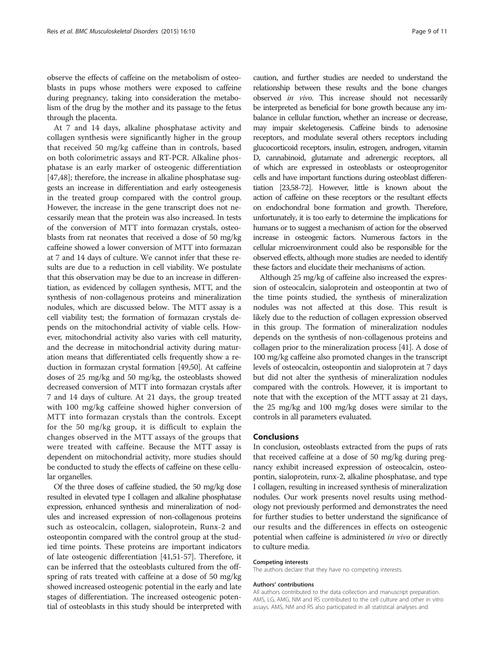observe the effects of caffeine on the metabolism of osteoblasts in pups whose mothers were exposed to caffeine during pregnancy, taking into consideration the metabolism of the drug by the mother and its passage to the fetus through the placenta.

At 7 and 14 days, alkaline phosphatase activity and collagen synthesis were significantly higher in the group that received 50 mg/kg caffeine than in controls, based on both colorimetric assays and RT-PCR. Alkaline phosphatase is an early marker of osteogenic differentiation [[47,48\]](#page-10-0); therefore, the increase in alkaline phosphatase suggests an increase in differentiation and early osteogenesis in the treated group compared with the control group. However, the increase in the gene transcript does not necessarily mean that the protein was also increased. In tests of the conversion of MTT into formazan crystals, osteoblasts from rat neonates that received a dose of 50 mg/kg caffeine showed a lower conversion of MTT into formazan at 7 and 14 days of culture. We cannot infer that these results are due to a reduction in cell viability. We postulate that this observation may be due to an increase in differentiation, as evidenced by collagen synthesis, MTT, and the synthesis of non-collagenous proteins and mineralization nodules, which are discussed below. The MTT assay is a cell viability test; the formation of formazan crystals depends on the mitochondrial activity of viable cells. However, mitochondrial activity also varies with cell maturity, and the decrease in mitochondrial activity during maturation means that differentiated cells frequently show a reduction in formazan crystal formation [\[49,50](#page-10-0)]. At caffeine doses of 25 mg/kg and 50 mg/kg, the osteoblasts showed decreased conversion of MTT into formazan crystals after 7 and 14 days of culture. At 21 days, the group treated with 100 mg/kg caffeine showed higher conversion of MTT into formazan crystals than the controls. Except for the 50 mg/kg group, it is difficult to explain the changes observed in the MTT assays of the groups that were treated with caffeine. Because the MTT assay is dependent on mitochondrial activity, more studies should be conducted to study the effects of caffeine on these cellular organelles.

Of the three doses of caffeine studied, the 50 mg/kg dose resulted in elevated type I collagen and alkaline phosphatase expression, enhanced synthesis and mineralization of nodules and increased expression of non-collagenous proteins such as osteocalcin, collagen, sialoprotein, Runx-2 and osteopontin compared with the control group at the studied time points. These proteins are important indicators of late osteogenic differentiation [\[41,](#page-9-0)[51](#page-10-0)-[57](#page-10-0)]. Therefore, it can be inferred that the osteoblasts cultured from the offspring of rats treated with caffeine at a dose of 50 mg/kg showed increased osteogenic potential in the early and late stages of differentiation. The increased osteogenic potential of osteoblasts in this study should be interpreted with

caution, and further studies are needed to understand the relationship between these results and the bone changes observed in vivo. This increase should not necessarily be interpreted as beneficial for bone growth because any imbalance in cellular function, whether an increase or decrease, may impair skeletogenesis. Caffeine binds to adenosine receptors, and modulate several others receptors including glucocorticoid receptors, insulin, estrogen, androgen, vitamin D, cannabinoid, glutamate and adrenergic receptors, all of which are expressed in osteoblasts or osteoprogenitor cells and have important functions during osteoblast differentiation [\[23](#page-9-0)[,58-72\]](#page-10-0). However, little is known about the action of caffeine on these receptors or the resultant effects on endochondral bone formation and growth. Therefore, unfortunately, it is too early to determine the implications for humans or to suggest a mechanism of action for the observed increase in osteogenic factors. Numerous factors in the cellular microenvironment could also be responsible for the observed effects, although more studies are needed to identify these factors and elucidate their mechanisms of action.

Although 25 mg/kg of caffeine also increased the expression of osteocalcin, sialoprotein and osteopontin at two of the time points studied, the synthesis of mineralization nodules was not affected at this dose. This result is likely due to the reduction of collagen expression observed in this group. The formation of mineralization nodules depends on the synthesis of non-collagenous proteins and collagen prior to the mineralization process [\[41\]](#page-9-0). A dose of 100 mg/kg caffeine also promoted changes in the transcript levels of osteocalcin, osteopontin and sialoprotein at 7 days but did not alter the synthesis of mineralization nodules compared with the controls. However, it is important to note that with the exception of the MTT assay at 21 days, the 25 mg/kg and 100 mg/kg doses were similar to the controls in all parameters evaluated.

#### Conclusions

In conclusion, osteoblasts extracted from the pups of rats that received caffeine at a dose of 50 mg/kg during pregnancy exhibit increased expression of osteocalcin, osteopontin, sialoprotein, runx-2, alkaline phosphatase, and type I collagen, resulting in increased synthesis of mineralization nodules. Our work presents novel results using methodology not previously performed and demonstrates the need for further studies to better understand the significance of our results and the differences in effects on osteogenic potential when caffeine is administered in vivo or directly to culture media.

#### Competing interests

The authors declare that they have no competing interests.

#### Authors' contributions

All authors contributed to the data collection and manuscript preparation. AMS, LG, AMG, NM and RS contributed to the cell culture and other in vitro assays. AMS, NM and RS also participated in all statistical analyses and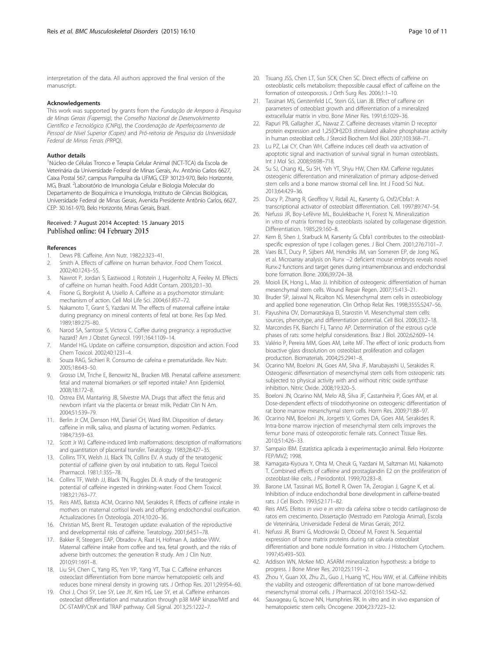<span id="page-9-0"></span>interpretation of the data. All authors approved the final version of the manuscript.

#### Acknowledgements

This work was supported by grants from the Fundação de Amparo à Pesquisa de Minas Gerais (Fapemig), the Conselho Nacional de Desenvolvimento Científico e Tecnológico (CNPq), the Coordenação de Aperfeiçoamento de Pessoal de Nível Superior (Capes) and Pró-reitoria de Pesquisa da Universidade Federal de Minas Ferais (PRPQ).

#### Author details

<sup>1</sup>Núcleo de Células Tronco e Terapia Celular Animal (NCT-TCA) da Escola de Veterinária da Universidade Federal de Minas Gerais, Av. Antônio Carlos 6627, Caixa Postal 567, campus Pampulha da UFMG, CEP 30123-970, Belo Horizonte, MG, Brazil. <sup>2</sup>Laboratório de Imunologia Celular e Biologia Molecular do Departamento de Bioquímica e Imunologia, Instituto de Ciências Biológicas, Universidade Federal de Minas Gerais, Avenida Presidente Antônio Carlos, 6627, CEP: 30.161-970, Belo Horizonte, Minas Gerais, Brazil.

#### Received: 7 August 2014 Accepted: 15 January 2015 Published online: 04 February 2015

#### References

- 1. Dews PB. Caffeine. Ann Nutr. 1982;2:323–41.
- 2. Smith A. Effects of caffeine on human behavior. Food Chem Toxicol. 2002;40:1243–55.
- 3. Nawrot P, Jordan S, Eastwood J, Rotstein J, Hugenholtz A, Feeley M. Effects of caffeine on human health. Food Addit Contam. 2003;20:1–30.
- 4. Fisone G, Borgkvist A, Usiello A. Caffeine as a psychomotor stimulant: mechanism of action. Cell Mol Life Sci. 2004;61:857–72.
- 5. Nakamoto T, Grant S, Yazdani M. The effects of maternal caffeine intake during pregnancy on mineral contents of fetal rat bone. Res Exp Med. 1989;189:275–80.
- 6. Narod SA, Santose S, Victora C. Coffee during pregnancy: a reproductive hazard? Am J Obstet Gynecol. 1991;164:1109–14.
- 7. Mandel HG. Update on caffeine consumption, disposition and action. Food Chem Toxicol. 2002;40:1231–4.
- 8. Souza RAG, Sichieri R. Consumo de cafeína e prematuridade. Rev Nutr. 2005;18:643–50.
- 9. Grosso LM, Triche E, Benowitz NL, Bracken MB. Prenatal caffeine assessment: fetal and maternal biomarkers or self reported intake? Ann Epidemiol. 2008;18:172–8.
- 10. Ostrea EM, Mantaring JB, Silvestre MA. Drugs that affect the fetus and newborn infant via the placenta or breast milk. Pediatr Clin N Am. 2004;51:539–79.
- 11. Berlin Jr CM, Denson HM, Daniel CH, Ward RM. Disposition of dietary caffeine in milk, saliva, and plasma of lactating women. Pediatrics. 1984;73:59–63.
- 12. Scott Jr WJ. Caffeine-induced limb malformations: description of malformations and quantitation of placental transfer. Teratology. 1983;28:427–35.
- 13. Collins TFX, Welsh JJ, Black TN, Collins EV. A study of the teratogenic potential of caffeine given by oral intubation to rats. Regul Toxicol Pharmacol. 1981;1:355–78.
- 14. Collins TF, Welsh JJ, Black TN, Ruggles DI. A study of the teratogenic potential of caffeine ingested in drinking-water. Food Chem Toxicol. 1983;21:763–77.
- 15. Reis AMS, Batista ACM, Ocarino NM, Serakides R. Effects of caffeine intake in mothers on maternal cortisol levels and offspring endochondral ossification. Actualizaciones En Osteología. 2014;10:20–36.
- 16. Christian MS, Brent RL. Teratogen update: evaluation of the reproductive and developmental risks of caffeine. Teratology. 2001;64:51–78.
- 17. Bakker R, Steegers EAP, Obradov A, Raat H, Hofman A, Jaddoe VWV. Maternal caffeine intake from coffee and tea, fetal growth, and the risks of adverse birth outcomes: the generation R study. Am J Clin Nutr. 2010;91:1691–8.
- 18. Liu SH, Chen C, Yang RS, Yen YP, Yang YT, Tsai C. Caffeine enhances osteoclast differentiation from bone marrow hematopoietic cells and reduces bone mineral density in growing rats. J Orthop Res. 2011;29:954–60.
- 19. Choi J, Choi SY, Lee SY, Lee JY, Kim HS, Lee SY, et al. Caffeine enhances osteoclast differentiation and maturation through p38 MAP kinase/Mitf and DC-STAMP/CtsK and TRAP pathway. Cell Signal. 2013;25:1222–7.
- 20. Tsuang JSS, Chen LT, Sun SCK, Chen SC. Direct effects of caffeine on osteoblastic cells metabolism: thepossible causal effect of caffeine on the formation of osteoporosis. J Orth Surg Res. 2006;1:1–10.
- 21. Tassinari MS, Gerstenfeld LC, Stein GS, Lian JB. Effect of caffeine on parameters of osteoblast growth and differentiation of a mineralized extracellular matrix in vitro. Bone Miner Res. 1991;6:1029–36.
- 22. Rapuri PB, Gallagher JC, Nawaz Z. Caffeine decreases vitamin D receptor protein expression and 1,25(OH)2D3 stimulated alkaline phosphatase activity in human osteoblast cells. J Steroid Biochem Mol Biol. 2007;103:368–71.
- 23. Lu PZ, Lai CY, Chan WH. Caffeine induces cell death via activation of apoptotic signal and inactivation of survival signal in human osteoblasts. Int J Mol Sci. 2008;9:698–718.
- 24. Su SJ, Chang KL, Su SH, Yeh YT, Shyu HW, Chen KM. Caffeine regulates osteogenic differentiation and mineralization of primary adipose-derived stem cells and a bone marrow stromal cell line. Int J Food Sci Nut. 2013;64:429–36.
- 25. Ducy P, Zhang R, Geoffroy V, Ridall AL, Karsenty G. Osf2/Cbfa1: A transcriptional activator of osteoblast differentiation. Cell. 1997;89:747–54.
- 26. Nefussi JR, Boy-Lefèvre ML, Boulekbache H, Forest N. Mineralization in vitro of matrix formed by osteoblasts isolated by collagenase digestion. Differentiation. 1985;29:160–8.
- 27. Kern B, Shen J, Starbuck M, Karsenty G. Cbfa1 contributes to the osteoblastspecific expression of type I collagen genes. J Biol Chem. 2001;276:7101–7.
- 28. Vaes BLT, Ducy P, Sijbers AM, Hendriks JM, van Someren EP, de Jong NG, et al. Microarray analysis on Runx −2 deficient mouse embryos reveals novel Runx-2 functions and target genes during intramembranous and endochondral bone formation. Bone. 2006;39:724–38.
- 29. Moioli EK, Hong L, Mao JJ. Inhibition of osteogenic differentiation of human mesenchymal stem cells. Wound Repair Regen. 2007;15:413–21.
- 30. Bruder SP, Jaiswal N, Ricalton NS. Mesenchymal stem cells in osteobiology and applied bone regeneration. Clin Orthop Relat Res. 1998;355S:S247–56.
- 31. Payushina OV, Domaratskaya EI, Starostin VI. Mesenchymal stem cells: sources, phenotype, and differentiation potential. Cell Biol. 2006;33:2–18.
- 32. Marcondes FK, Bianchi FJ, Tanno AP. Determination of the estrous cycle phases of rats: some helpful considerations. Braz J Biol. 2002;62:609–14.
- 33. Valério P, Pereira MM, Goes AM, Leite MF. The effect of ionic products from bioactive glass dissolution on osteoblast proliferation and collagen production. Biomaterials. 2004;25:2941–8.
- 34. Ocarino NM, Boeloni JN, Goes AM, Silva JF, Marubayashi U, Serakides R. Osteogenic differentiation of mesenchymal stem cells from osteopenic rats subjected to physical activity with and without nitric oxide synthase inhibition. Nitric Oxide. 2008;19:320–5.
- 35. Boeloni JN, Ocarino NM, Melo AB, Silva JF, Castanheira P, Goes AM, et al. Dose-dependent effects of triiodothyronine on osteogenic differentiation of rat bone marrow mesenchymal stem cells. Horm Res. 2009;71:88–97.
- 36. Ocarino NM, Boeloni JN, Jorgetti V, Gomes DA, Goes AM, Serakides R. Intra-bone marrow injection of mesenchymal stem cells improves the femur bone mass of osteoporotic female rats. Connect Tissue Res. 2010;51:426–33.
- 37. Sampaio IBM. Estatística aplicada à experimentação animal. Belo Horizonte: FEP/MVZ; 1998.
- 38. Kamagata-Kiyoura Y, Ohta M, Cheuk G, Yazdani M, Saltzman MJ, Nakamoto T. Combined effects of caffeine and prostaglandin E2 on the proliferation of osteoblast-like cells. J Periodontol. 1999;70:283–8.
- 39. Barone LM, Tassinari MS, Bortell R, Owen TA, Zerogian J, Gagne K, et al. Inhibition of induce endochondral bone development in caffeine-treated rats. J Cel Bioch. 1993;52:171–82.
- 40. Reis AMS. Efeitos in vivo e in vitro da cafeína sobre o tecido cartilaginoso de ratos em crescimento. Dissertação (Mestrado em Patologia Animal), Escola de Veterinária, Universidade Federal de Minas Gerais; 2012.
- 41. Nefussi JR, Brami G, Modrowski D, Oboeuf M, Forest N. Sequential expression of bone matrix proteins during rat calvaria osteoblast differentiation and bone nodule formation in vitro. J Histochem Cytochem. 1997;45:493–503.
- 42. Addison WN, McKee MD. ASARM mineralization hypothesis: a bridge to progress. J Bone Miner Res. 2010;25:1191–2.
- 43. Zhou Y, Guan XX, Zhu ZL, Guo J, Huang YC, Hou WW, et al. Caffeine inhibits the viability and osteogenic differentiation of rat bone marrow-derived mesenchymal stromal cells. J Pharmacol. 2010;161:1542–52.
- 44. Sauvageau G, Iscove NN, Humphries RK. In vitro and in vivo expansion of hematopoietic stem cells. Oncogene. 2004;23:7223–32.